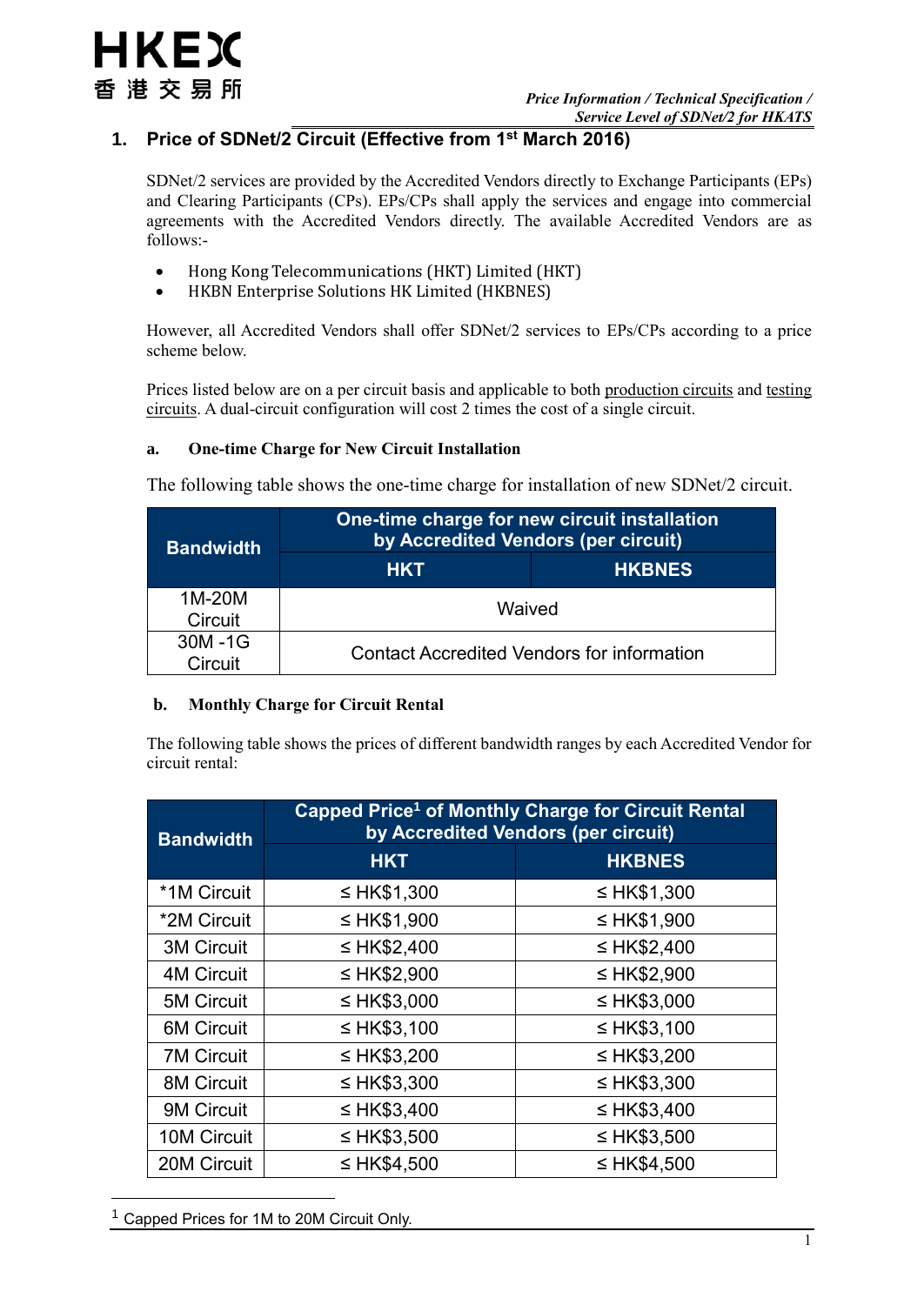# **1. Price of SDNet/2 Circuit (Effective from 1st March 2016)**

SDNet/2 services are provided by the Accredited Vendors directly to Exchange Participants (EPs) and Clearing Participants (CPs). EPs/CPs shall apply the services and engage into commercial agreements with the Accredited Vendors directly. The available Accredited Vendors are as follows:-

- Hong Kong Telecommunications (HKT) Limited (HKT)
- HKBN Enterprise Solutions HK Limited (HKBNES)

However, all Accredited Vendors shall offer SDNet/2 services to EPs/CPs according to a price scheme below.

Prices listed below are on a per circuit basis and applicable to both production circuits and testing circuits. A dual-circuit configuration will cost 2 times the cost of a single circuit.

### **a. One-time Charge for New Circuit Installation**

The following table shows the one-time charge for installation of new SDNet/2 circuit.

| <b>Bandwidth</b>  | One-time charge for new circuit installation<br>by Accredited Vendors (per circuit) |  |  |
|-------------------|-------------------------------------------------------------------------------------|--|--|
|                   | <b>HKBNES</b><br><b>HKT</b>                                                         |  |  |
| 1M-20M<br>Circuit | Waived                                                                              |  |  |
| 30M-1G<br>Circuit | <b>Contact Accredited Vendors for information</b>                                   |  |  |

### **b. Monthly Charge for Circuit Rental**

The following table shows the prices of different bandwidth ranges by each Accredited Vendor for circuit rental:

| <b>Bandwidth</b>  | Capped Price <sup>1</sup> of Monthly Charge for Circuit Rental<br>by Accredited Vendors (per circuit) |                  |  |
|-------------------|-------------------------------------------------------------------------------------------------------|------------------|--|
|                   | <b>HKT</b>                                                                                            | <b>HKBNES</b>    |  |
| *1M Circuit       | ≤ HK\$1,300                                                                                           | ≤ HK\$1,300      |  |
| *2M Circuit       | ≤ HK\$1,900                                                                                           | ≤ HK\$1,900      |  |
| <b>3M Circuit</b> | ≤ HK\$2,400                                                                                           | $\leq$ HK\$2,400 |  |
| <b>4M Circuit</b> | ≤ HK\$2,900                                                                                           | $\leq$ HK\$2,900 |  |
| <b>5M Circuit</b> | $\leq$ HK\$3,000                                                                                      | ≤ HK\$3,000      |  |
| <b>6M Circuit</b> | $\leq$ HK\$3,100                                                                                      | $\leq$ HK\$3,100 |  |
| <b>7M Circuit</b> | $\leq$ HK\$3,200                                                                                      | $\leq$ HK\$3,200 |  |
| <b>8M Circuit</b> | $\leq$ HK\$3,300                                                                                      | $\leq$ HK\$3,300 |  |
| 9M Circuit        | $\leq$ HK\$3,400                                                                                      | $\leq$ HK\$3,400 |  |
| 10M Circuit       | $\leq$ HK\$3,500                                                                                      | $\leq$ HK\$3,500 |  |
| 20M Circuit       | ≤ HK\$4,500                                                                                           | ≤ HK\$4,500      |  |

<sup>1</sup> Capped Prices for 1M to 20M Circuit Only.

1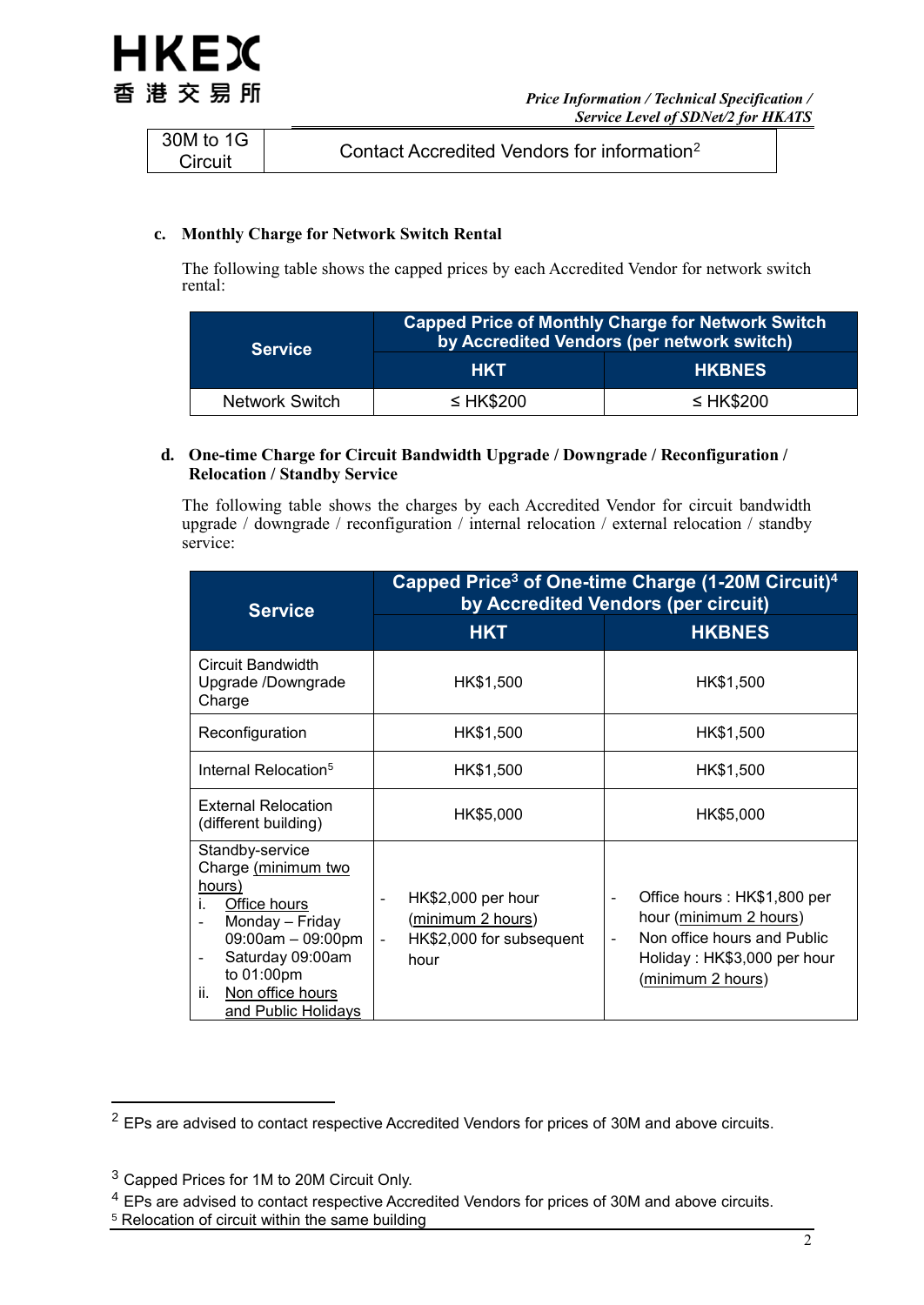

| 30M to 1G<br>Circuit | Contact Accredited Vendors for information <sup>2</sup> |
|----------------------|---------------------------------------------------------|
|----------------------|---------------------------------------------------------|

### **c. Monthly Charge for Network Switch Rental**

The following table shows the capped prices by each Accredited Vendor for network switch rental:

| <b>Service</b>        | <b>Capped Price of Monthly Charge for Network Switch</b><br>by Accredited Vendors (per network switch) |                |  |
|-----------------------|--------------------------------------------------------------------------------------------------------|----------------|--|
|                       | <b>HKT</b>                                                                                             | <b>HKBNES</b>  |  |
| <b>Network Switch</b> | $\leq$ HK\$200                                                                                         | $\leq$ HK\$200 |  |

### **d. One-time Charge for Circuit Bandwidth Upgrade / Downgrade / Reconfiguration / Relocation / Standby Service**

The following table shows the charges by each Accredited Vendor for circuit bandwidth upgrade / downgrade / reconfiguration / internal relocation / external relocation / standby service:

| <b>Service</b>                                                                                                                                                                                                                                                 | Capped Price <sup>3</sup> of One-time Charge (1-20M Circuit) <sup>4</sup><br>by Accredited Vendors (per circuit)  |                                                                                                                                                                                        |  |
|----------------------------------------------------------------------------------------------------------------------------------------------------------------------------------------------------------------------------------------------------------------|-------------------------------------------------------------------------------------------------------------------|----------------------------------------------------------------------------------------------------------------------------------------------------------------------------------------|--|
|                                                                                                                                                                                                                                                                | <b>HKT</b>                                                                                                        | <b>HKBNES</b>                                                                                                                                                                          |  |
| Circuit Bandwidth<br>Upgrade /Downgrade<br>Charge                                                                                                                                                                                                              | HK\$1,500                                                                                                         | HK\$1,500                                                                                                                                                                              |  |
| Reconfiguration                                                                                                                                                                                                                                                | HK\$1,500                                                                                                         | HK\$1,500                                                                                                                                                                              |  |
| Internal Relocation <sup>5</sup>                                                                                                                                                                                                                               | HK\$1,500<br>HK\$1,500                                                                                            |                                                                                                                                                                                        |  |
| External Relocation<br>(different building)                                                                                                                                                                                                                    | HK\$5,000                                                                                                         | HK\$5,000                                                                                                                                                                              |  |
| Standby-service<br>Charge (minimum two<br>hours)<br>Office hours<br>i.<br>Monday - Friday<br>$\overline{\phantom{a}}$<br>09:00am - 09:00pm<br>Saturday 09:00am<br>$\qquad \qquad \blacksquare$<br>to 01:00pm<br>Non office hours<br>ii.<br>and Public Holidays | HK\$2,000 per hour<br>$\sim$<br>(minimum 2 hours)<br>HK\$2,000 for subsequent<br>$\overline{\phantom{a}}$<br>hour | Office hours: HK\$1,800 per<br>$\overline{\phantom{a}}$<br>hour (minimum 2 hours)<br>Non office hours and Public<br>$\blacksquare$<br>Holiday: HK\$3,000 per hour<br>(minimum 2 hours) |  |

<u>.</u>

<sup>5</sup> Relocation of circuit within the same building

<sup>&</sup>lt;sup>2</sup> EPs are advised to contact respective Accredited Vendors for prices of 30M and above circuits.

<sup>3</sup> Capped Prices for 1M to 20M Circuit Only.

<sup>4</sup> EPs are advised to contact respective Accredited Vendors for prices of 30M and above circuits.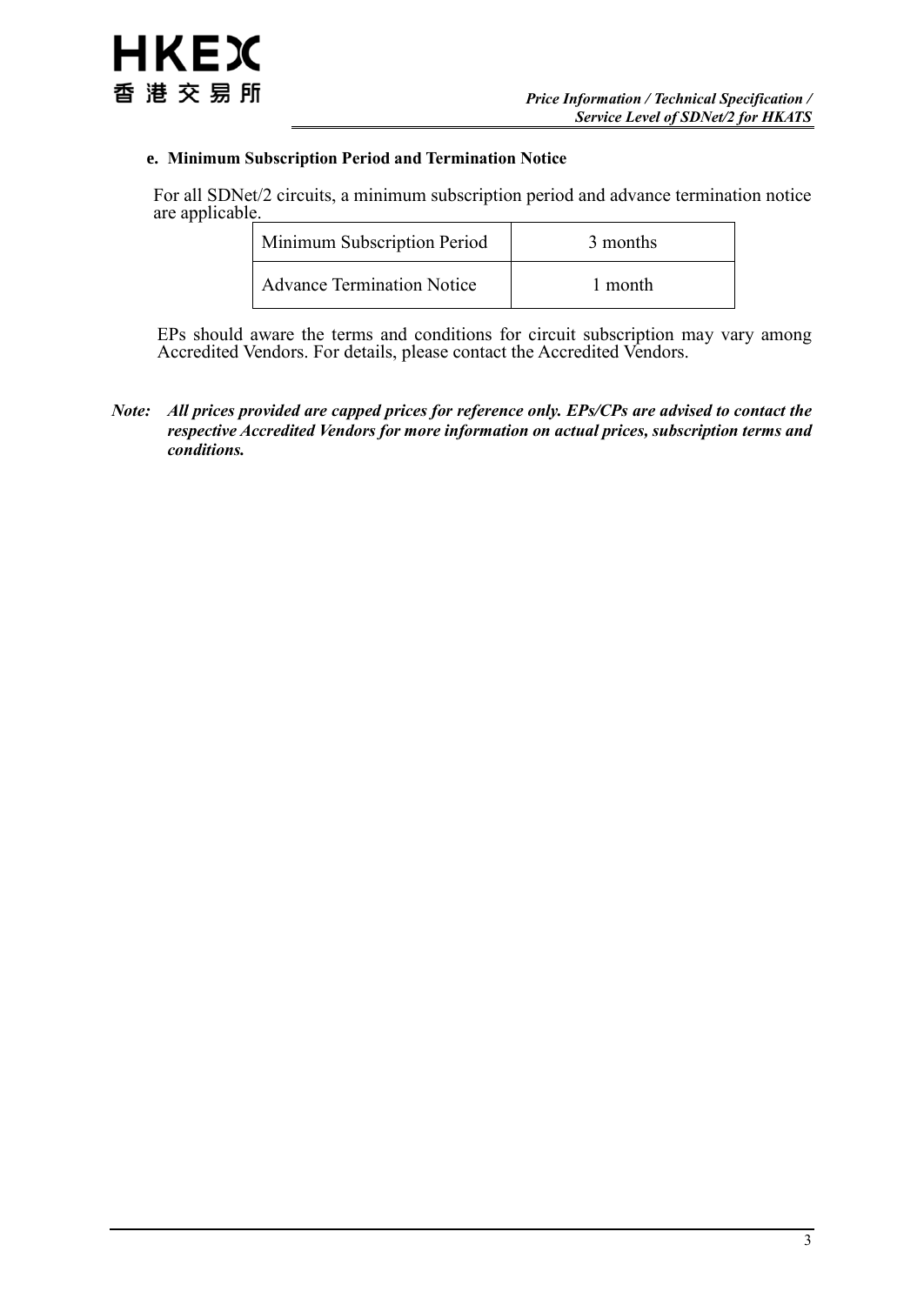### **e. Minimum Subscription Period and Termination Notice**

For all SDNet/2 circuits, a minimum subscription period and advance termination notice are applicable.

| Minimum Subscription Period       |  | 3 months |  |
|-----------------------------------|--|----------|--|
| <b>Advance Termination Notice</b> |  | 1 month  |  |

EPs should aware the terms and conditions for circuit subscription may vary among Accredited Vendors. For details, please contact the Accredited Vendors.

*Note: All prices provided are capped prices for reference only. EPs/CPs are advised to contact the respective Accredited Vendors for more information on actual prices, subscription terms and conditions.*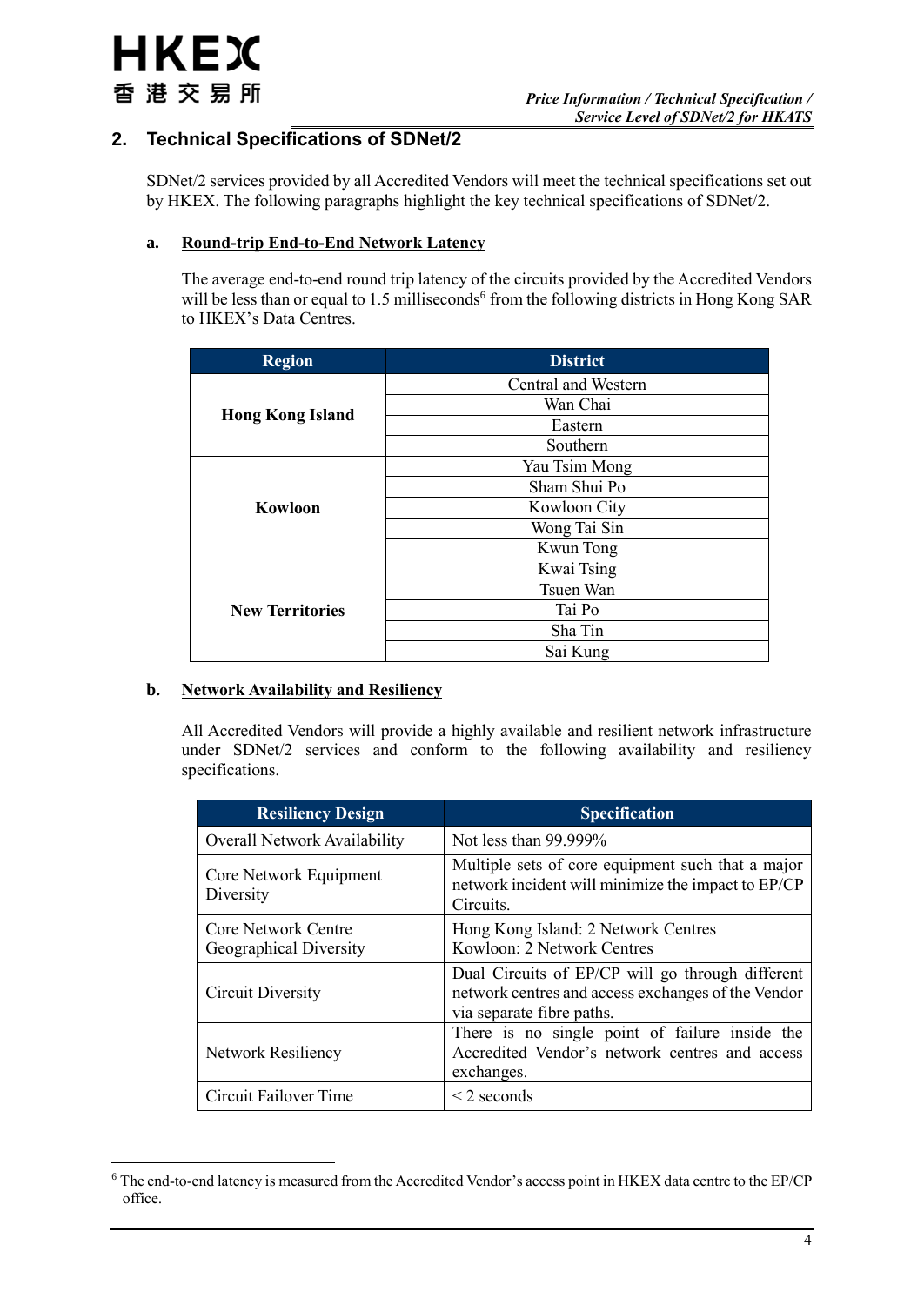## **2. Technical Specifications of SDNet/2**

SDNet/2 services provided by all Accredited Vendors will meet the technical specifications set out by HKEX. The following paragraphs highlight the key technical specifications of SDNet/2.

### **a. Round-trip End-to-End Network Latency**

The average end-to-end round trip latency of the circuits provided by the Accredited Vendors will be less than or equal to 1.5 milliseconds<sup>6</sup> from the following districts in Hong Kong SAR to HKEX's Data Centres.

| <b>Region</b>           | <b>District</b>     |
|-------------------------|---------------------|
|                         | Central and Western |
|                         | Wan Chai            |
| <b>Hong Kong Island</b> | Eastern             |
|                         | Southern            |
|                         | Yau Tsim Mong       |
|                         | Sham Shui Po        |
| Kowloon                 | Kowloon City        |
|                         | Wong Tai Sin        |
|                         | Kwun Tong           |
|                         | Kwai Tsing          |
|                         | Tsuen Wan           |
| <b>New Territories</b>  | Tai Po              |
|                         | Sha Tin             |
|                         | Sai Kung            |

### **b. Network Availability and Resiliency**

All Accredited Vendors will provide a highly available and resilient network infrastructure under SDNet/2 services and conform to the following availability and resiliency specifications.

| <b>Resiliency Design</b>                             | <b>Specification</b>                                                                                                                |  |
|------------------------------------------------------|-------------------------------------------------------------------------------------------------------------------------------------|--|
| Overall Network Availability                         | Not less than $99.999\%$                                                                                                            |  |
| Core Network Equipment<br>Diversity                  | Multiple sets of core equipment such that a major<br>network incident will minimize the impact to EP/CP<br>Circuits.                |  |
| <b>Core Network Centre</b><br>Geographical Diversity | Hong Kong Island: 2 Network Centres<br>Kowloon: 2 Network Centres                                                                   |  |
| Circuit Diversity                                    | Dual Circuits of EP/CP will go through different<br>network centres and access exchanges of the Vendor<br>via separate fibre paths. |  |
| Network Resiliency                                   | There is no single point of failure inside the<br>Accredited Vendor's network centres and access<br>exchanges.                      |  |
| Circuit Failover Time                                | $\leq$ 2 seconds                                                                                                                    |  |

<sup>1</sup> <sup>6</sup> The end-to-end latency is measured from the Accredited Vendor's access point in HKEX data centre to the EP/CP office.